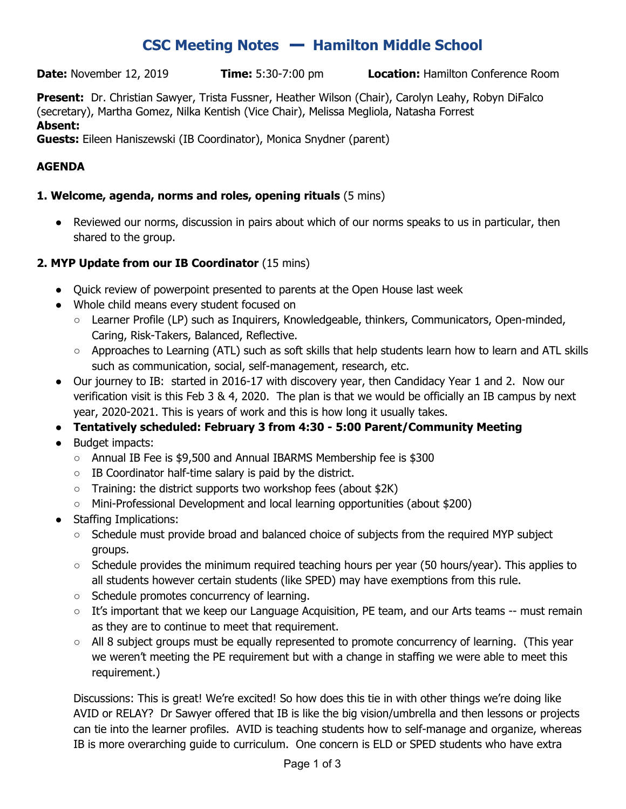# **CSC Meeting Notes** ━ **Hamilton Middle School**

**Date:** November 12, 2019 **Time:** 5:30-7:00 pm **Location:** Hamilton Conference Room

**Present:** Dr. Christian Sawyer, Trista Fussner, Heather Wilson (Chair), Carolyn Leahy, Robyn DiFalco (secretary), Martha Gomez, Nilka Kentish (Vice Chair), Melissa Megliola, Natasha Forrest **Absent:**

#### **Guests:** Eileen Haniszewski (IB Coordinator), Monica Snydner (parent)

#### **AGENDA**

#### **1. Welcome, agenda, norms and roles, opening rituals** (5 mins)

• Reviewed our norms, discussion in pairs about which of our norms speaks to us in particular, then shared to the group.

#### **2. MYP Update from our IB Coordinator** (15 mins)

- Quick review of powerpoint presented to parents at the Open House last week
- Whole child means every student focused on
	- Learner Profile (LP) such as Inquirers, Knowledgeable, thinkers, Communicators, Open-minded, Caring, Risk-Takers, Balanced, Reflective.
	- Approaches to Learning (ATL) such as soft skills that help students learn how to learn and ATL skills such as communication, social, self-management, research, etc.
- Our journey to IB: started in 2016-17 with discovery year, then Candidacy Year 1 and 2. Now our verification visit is this Feb 3 & 4, 2020. The plan is that we would be officially an IB campus by next year, 2020-2021. This is years of work and this is how long it usually takes.
- **● Tentatively scheduled: February 3 from 4:30 - 5:00 Parent/Community Meeting**
- Budget impacts:
	- Annual IB Fee is \$9,500 and Annual IBARMS Membership fee is \$300
	- IB Coordinator half-time salary is paid by the district.
	- Training: the district supports two workshop fees (about \$2K)
	- Mini-Professional Development and local learning opportunities (about \$200)
- **Staffing Implications:** 
	- Schedule must provide broad and balanced choice of subjects from the required MYP subject groups.
	- $\circ$  Schedule provides the minimum required teaching hours per year (50 hours/year). This applies to all students however certain students (like SPED) may have exemptions from this rule.
	- Schedule promotes concurrency of learning.
	- It's important that we keep our Language Acquisition, PE team, and our Arts teams -- must remain as they are to continue to meet that requirement.
	- $\circ$  All 8 subject groups must be equally represented to promote concurrency of learning. (This year we weren't meeting the PE requirement but with a change in staffing we were able to meet this requirement.)

Discussions: This is great! We're excited! So how does this tie in with other things we're doing like AVID or RELAY? Dr Sawyer offered that IB is like the big vision/umbrella and then lessons or projects can tie into the learner profiles. AVID is teaching students how to self-manage and organize, whereas IB is more overarching guide to curriculum. One concern is ELD or SPED students who have extra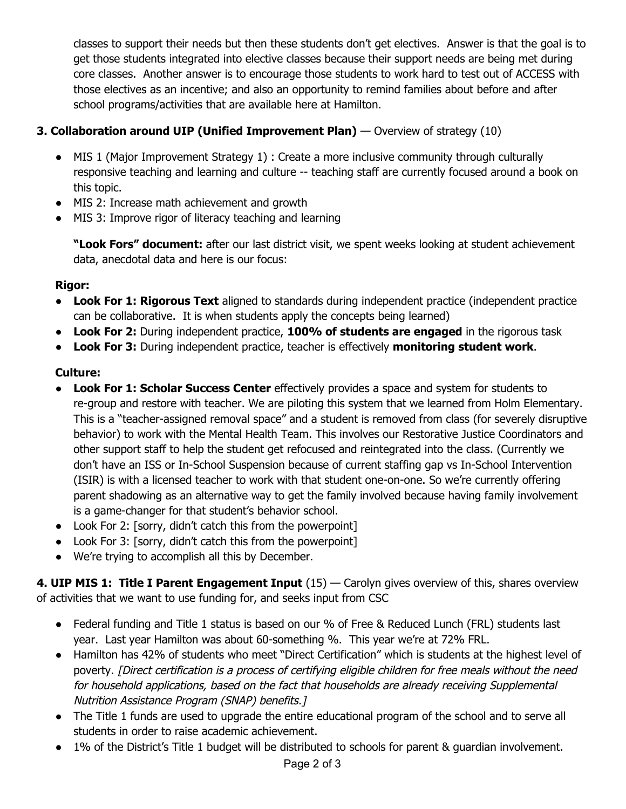classes to support their needs but then these students don't get electives. Answer is that the goal is to get those students integrated into elective classes because their support needs are being met during core classes. Another answer is to encourage those students to work hard to test out of ACCESS with those electives as an incentive; and also an opportunity to remind families about before and after school programs/activities that are available here at Hamilton.

## **3. Collaboration around UIP (Unified Improvement Plan)** — Overview of strategy (10)

- MIS 1 (Major Improvement Strategy 1) : Create a more inclusive community through culturally responsive teaching and learning and culture -- teaching staff are currently focused around a book on this topic.
- MIS 2: Increase math achievement and growth
- MIS 3: Improve rigor of literacy teaching and learning

**"Look Fors" document:** after our last district visit, we spent weeks looking at student achievement data, anecdotal data and here is our focus:

#### **Rigor:**

- **Look For 1: Rigorous Text** aligned to standards during independent practice (independent practice can be collaborative. It is when students apply the concepts being learned)
- **Look For 2:** During independent practice, **100% of students are engaged** in the rigorous task
- **Look For 3:** During independent practice, teacher is effectively **monitoring student work**.

### **Culture:**

- **Look For 1: Scholar Success Center** effectively provides a space and system for students to re-group and restore with teacher. We are piloting this system that we learned from Holm Elementary. This is a "teacher-assigned removal space" and a student is removed from class (for severely disruptive behavior) to work with the Mental Health Team. This involves our Restorative Justice Coordinators and other support staff to help the student get refocused and reintegrated into the class. (Currently we don't have an ISS or In-School Suspension because of current staffing gap vs In-School Intervention (ISIR) is with a licensed teacher to work with that student one-on-one. So we're currently offering parent shadowing as an alternative way to get the family involved because having family involvement is a game-changer for that student's behavior school.
- Look For 2: [sorry, didn't catch this from the powerpoint]
- Look For 3: [sorry, didn't catch this from the powerpoint]
- We're trying to accomplish all this by December.

**4. UIP MIS 1: Title I Parent Engagement Input** (15) — Carolyn gives overview of this, shares overview of activities that we want to use funding for, and seeks input from CSC

- Federal funding and Title 1 status is based on our % of Free & Reduced Lunch (FRL) students last year. Last year Hamilton was about 60-something %. This year we're at 72% FRL.
- Hamilton has 42% of students who meet "Direct Certification" which is students at the highest level of poverty. [Direct certification is <sup>a</sup> process of certifying eligible children for free meals without the need for household applications, based on the fact that households are already receiving Supplemental Nutrition Assistance Program (SNAP) benefits.]
- The Title 1 funds are used to upgrade the entire educational program of the school and to serve all students in order to raise academic achievement.
- 1% of the District's Title 1 budget will be distributed to schools for parent & guardian involvement.